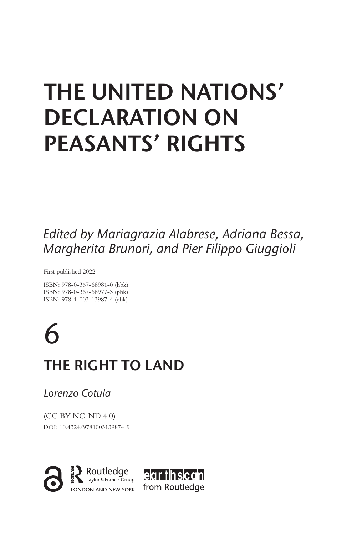## **THE UNITED NATIONS' DECLARATION ON PEASANTS' RIGHTS**

*Edited by Mariagrazia Alabrese, Adriana Bessa, Margherita Brunori, and Pier Filippo Giuggioli*

First published 2022

ISBN: 978-0-367-68981-0 (hbk) ISBN: 978-0-367-68977-3 (pbk) ISBN: 978-1-003-13987-4 (ebk)

6 **THE RIGHT TO LAND**

*Lorenzo Cotula*

(CC BY-NC-ND 4.0) DOI: 10.4324/9781003139874-9

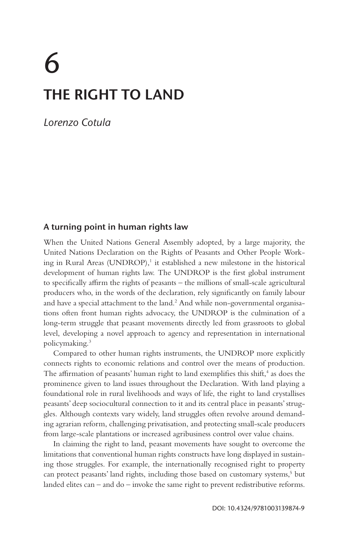# 6 **THE RIGHT TO LAND**

*Lorenzo Cotula*

## **A turning point in human rights law**

When the United Nations General Assembly adopted, by a large majority, the United Nations Declaration on the Rights of Peasants and Other People Working in Rural Areas (UNDROP),<sup>1</sup> it established a new milestone in the historical development of human rights law. The UNDROP is the first global instrument to specifically affirm the rights of peasants – the millions of small-scale agricultural producers who, in the words of the declaration, rely significantly on family labour and have a special attachment to the land.<sup>2</sup> And while non-governmental organisations often front human rights advocacy, the UNDROP is the culmination of a long-term struggle that peasant movements directly led from grassroots to global level, developing a novel approach to agency and representation in international policymaking.3

Compared to other human rights instruments, the UNDROP more explicitly connects rights to economic relations and control over the means of production. The affirmation of peasants' human right to land exemplifies this shift,<sup>4</sup> as does the prominence given to land issues throughout the Declaration. With land playing a foundational role in rural livelihoods and ways of life, the right to land crystallises peasants' deep sociocultural connection to it and its central place in peasants' struggles. Although contexts vary widely, land struggles often revolve around demanding agrarian reform, challenging privatisation, and protecting small-scale producers from large-scale plantations or increased agribusiness control over value chains.

In claiming the right to land, peasant movements have sought to overcome the limitations that conventional human rights constructs have long displayed in sustaining those struggles. For example, the internationally recognised right to property can protect peasants' land rights, including those based on customary systems,<sup>5</sup> but landed elites can – and do – invoke the same right to prevent redistributive reforms.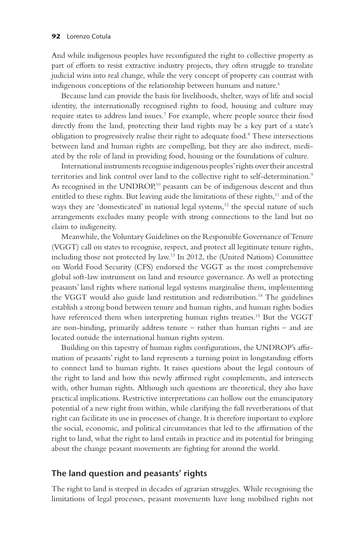And while indigenous peoples have reconfigured the right to collective property as part of efforts to resist extractive industry projects, they often struggle to translate judicial wins into real change, while the very concept of property can contrast with indigenous conceptions of the relationship between humans and nature.<sup>6</sup>

Because land can provide the basis for livelihoods, shelter, ways of life and social identity, the internationally recognised rights to food, housing and culture may require states to address land issues.7 For example, where people source their food directly from the land, protecting their land rights may be a key part of a state's obligation to progressively realise their right to adequate food.<sup>8</sup> These intersections between land and human rights are compelling, but they are also indirect, mediated by the role of land in providing food, housing or the foundations of culture.

International instruments recognise indigenous peoples' rights over their ancestral territories and link control over land to the collective right to self-determination.<sup>9</sup> As recognised in the UNDROP,<sup>10</sup> peasants can be of indigenous descent and thus entitled to these rights. But leaving aside the limitations of these rights,<sup>11</sup> and of the ways they are 'domesticated' in national legal systems,<sup>12</sup> the special nature of such arrangements excludes many people with strong connections to the land but no claim to indigeneity.

Meanwhile, the Voluntary Guidelines on the Responsible Governance of Tenure (VGGT) call on states to recognise, respect, and protect all legitimate tenure rights, including those not protected by law.13 In 2012, the (United Nations) Committee on World Food Security (CFS) endorsed the VGGT as the most comprehensive global soft-law instrument on land and resource governance. As well as protecting peasants' land rights where national legal systems marginalise them, implementing the VGGT would also guide land restitution and redistribution.14 The guidelines establish a strong bond between tenure and human rights, and human rights bodies have referenced them when interpreting human rights treaties.<sup>15</sup> But the VGGT are non-binding, primarily address tenure – rather than human rights – and are located outside the international human rights system.

Building on this tapestry of human rights configurations, the UNDROP's affirmation of peasants' right to land represents a turning point in longstanding efforts to connect land to human rights. It raises questions about the legal contours of the right to land and how this newly affirmed right complements, and intersects with, other human rights. Although such questions are theoretical, they also have practical implications. Restrictive interpretations can hollow out the emancipatory potential of a new right from within, while clarifying the full reverberations of that right can facilitate its use in processes of change. It is therefore important to explore the social, economic, and political circumstances that led to the affirmation of the right to land, what the right to land entails in practice and its potential for bringing about the change peasant movements are fighting for around the world.

## **The land question and peasants' rights**

The right to land is steeped in decades of agrarian struggles. While recognising the limitations of legal processes, peasant movements have long mobilised rights not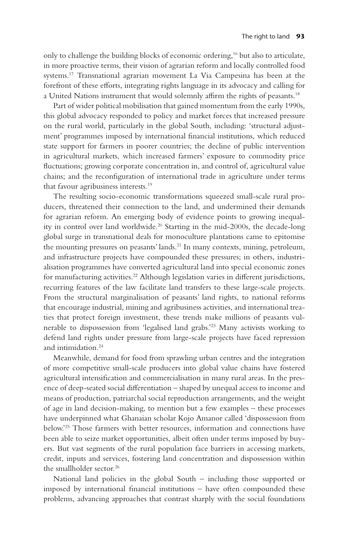only to challenge the building blocks of economic ordering,<sup>16</sup> but also to articulate, in more proactive terms, their vision of agrarian reform and locally controlled food systems.17 Transnational agrarian movement La Via Campesina has been at the forefront of these efforts, integrating rights language in its advocacy and calling for a United Nations instrument that would solemnly affirm the rights of peasants.18

Part of wider political mobilisation that gained momentum from the early 1990s, this global advocacy responded to policy and market forces that increased pressure on the rural world, particularly in the global South, including: 'structural adjustment' programmes imposed by international financial institutions, which reduced state support for farmers in poorer countries; the decline of public intervention in agricultural markets, which increased farmers' exposure to commodity price fluctuations; growing corporate concentration in, and control of, agricultural value chains; and the reconfiguration of international trade in agriculture under terms that favour agribusiness interests.19

The resulting socio-economic transformations squeezed small-scale rural producers, threatened their connection to the land, and undermined their demands for agrarian reform. An emerging body of evidence points to growing inequality in control over land worldwide.<sup>20</sup> Starting in the mid-2000s, the decade-long global surge in transnational deals for monoculture plantations came to epitomise the mounting pressures on peasants' lands.<sup>21</sup> In many contexts, mining, petroleum, and infrastructure projects have compounded these pressures; in others, industrialisation programmes have converted agricultural land into special economic zones for manufacturing activities.<sup>22</sup> Although legislation varies in different jurisdictions, recurring features of the law facilitate land transfers to these large-scale projects. From the structural marginalisation of peasants' land rights, to national reforms that encourage industrial, mining and agribusiness activities, and international treaties that protect foreign investment, these trends make millions of peasants vulnerable to dispossession from 'legalised land grabs.'23 Many activists working to defend land rights under pressure from large-scale projects have faced repression and intimidation.<sup>24</sup>

Meanwhile, demand for food from sprawling urban centres and the integration of more competitive small-scale producers into global value chains have fostered agricultural intensification and commercialisation in many rural areas. In the presence of deep-seated social differentiation – shaped by unequal access to income and means of production, patriarchal social reproduction arrangements, and the weight of age in land decision-making, to mention but a few examples – these processes have underpinned what Ghanaian scholar Kojo Amanor called 'dispossession from below.'25 Those farmers with better resources, information and connections have been able to seize market opportunities, albeit often under terms imposed by buyers. But vast segments of the rural population face barriers in accessing markets, credit, inputs and services, fostering land concentration and dispossession within the smallholder sector.<sup>26</sup>

National land policies in the global South – including those supported or imposed by international financial institutions – have often compounded these problems, advancing approaches that contrast sharply with the social foundations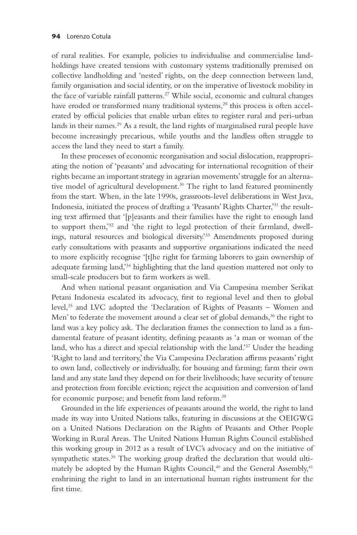of rural realities. For example, policies to individualise and commercialise landholdings have created tensions with customary systems traditionally premised on collective landholding and 'nested' rights, on the deep connection between land, family organisation and social identity, or on the imperative of livestock mobility in the face of variable rainfall patterns.<sup>27</sup> While social, economic and cultural changes have eroded or transformed many traditional systems,<sup>28</sup> this process is often accelerated by official policies that enable urban elites to register rural and peri-urban lands in their names.<sup>29</sup> As a result, the land rights of marginalised rural people have become increasingly precarious, while youths and the landless often struggle to access the land they need to start a family.

In these processes of economic reorganisation and social dislocation, reappropriating the notion of 'peasants' and advocating for international recognition of their rights became an important strategy in agrarian movements' struggle for an alternative model of agricultural development.<sup>30</sup> The right to land featured prominently from the start. When, in the late 1990s, grassroots-level deliberations in West Java, Indonesia, initiated the process of drafting a 'Peasants' Rights Charter,'31 the resulting text affirmed that '[p]easants and their families have the right to enough land to support them,'32 and 'the right to legal protection of their farmland, dwellings, natural resources and biological diversity.'33 Amendments proposed during early consultations with peasants and supportive organisations indicated the need to more explicitly recognise '[t]he right for farming laborers to gain ownership of adequate farming land,'34 highlighting that the land question mattered not only to small-scale producers but to farm workers as well.

And when national peasant organisation and Via Campesina member Serikat Petani Indonesia escalated its advocacy, first to regional level and then to global level,35 and LVC adopted the 'Declaration of Rights of Peasants – Women and Men' to federate the movement around a clear set of global demands, $36$  the right to land was a key policy ask. The declaration frames the connection to land as a fundamental feature of peasant identity, defining peasants as 'a man or woman of the land, who has a direct and special relationship with the land.'37 Under the heading 'Right to land and territory,' the Via Campesina Declaration affirms peasants' right to own land, collectively or individually, for housing and farming; farm their own land and any state land they depend on for their livelihoods; have security of tenure and protection from forcible eviction; reject the acquisition and conversion of land for economic purpose; and benefit from land reform.<sup>38</sup>

Grounded in the life experiences of peasants around the world, the right to land made its way into United Nations talks, featuring in discussions at the OEIGWG on a United Nations Declaration on the Rights of Peasants and Other People Working in Rural Areas. The United Nations Human Rights Council established this working group in 2012 as a result of LVC's advocacy and on the initiative of sympathetic states.<sup>39</sup> The working group drafted the declaration that would ultimately be adopted by the Human Rights Council,<sup>40</sup> and the General Assembly,<sup>41</sup> enshrining the right to land in an international human rights instrument for the first time.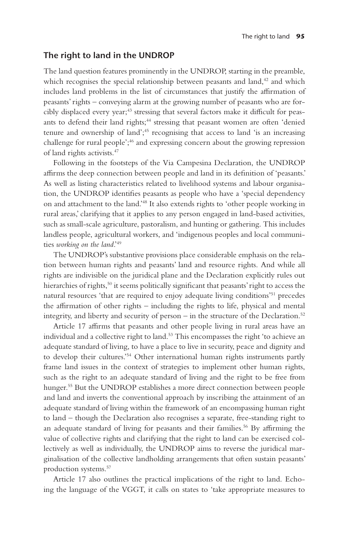#### **The right to land in the UNDROP**

The land question features prominently in the UNDROP, starting in the preamble, which recognises the special relationship between peasants and land, $42$  and which includes land problems in the list of circumstances that justify the affirmation of peasants' rights – conveying alarm at the growing number of peasants who are forcibly displaced every year;<sup>43</sup> stressing that several factors make it difficult for peasants to defend their land rights;<sup>44</sup> stressing that peasant women are often 'denied tenure and ownership of land';<sup>45</sup> recognising that access to land 'is an increasing challenge for rural people';46 and expressing concern about the growing repression of land rights activists.47

Following in the footsteps of the Via Campesina Declaration, the UNDROP affirms the deep connection between people and land in its definition of 'peasants.' As well as listing characteristics related to livelihood systems and labour organisation, the UNDROP identifies peasants as people who have a 'special dependency on and attachment to the land.'48 It also extends rights to 'other people working in rural areas,' clarifying that it applies to any person engaged in land-based activities, such as small-scale agriculture, pastoralism, and hunting or gathering. This includes landless people, agricultural workers, and 'indigenous peoples and local communities *working on the land*.'49

The UNDROP's substantive provisions place considerable emphasis on the relation between human rights and peasants' land and resource rights. And while all rights are indivisible on the juridical plane and the Declaration explicitly rules out hierarchies of rights,<sup>50</sup> it seems politically significant that peasants' right to access the natural resources 'that are required to enjoy adequate living conditions'51 precedes the affirmation of other rights – including the rights to life, physical and mental integrity, and liberty and security of person – in the structure of the Declaration.<sup>52</sup>

Article 17 affirms that peasants and other people living in rural areas have an individual and a collective right to land.<sup>53</sup> This encompasses the right 'to achieve an adequate standard of living, to have a place to live in security, peace and dignity and to develop their cultures.'54 Other international human rights instruments partly frame land issues in the context of strategies to implement other human rights, such as the right to an adequate standard of living and the right to be free from hunger.<sup>55</sup> But the UNDROP establishes a more direct connection between people and land and inverts the conventional approach by inscribing the attainment of an adequate standard of living within the framework of an encompassing human right to land – though the Declaration also recognises a separate, free-standing right to an adequate standard of living for peasants and their families.56 By affirming the value of collective rights and clarifying that the right to land can be exercised collectively as well as individually, the UNDROP aims to reverse the juridical marginalisation of the collective landholding arrangements that often sustain peasants' production systems.57

Article 17 also outlines the practical implications of the right to land. Echoing the language of the VGGT, it calls on states to 'take appropriate measures to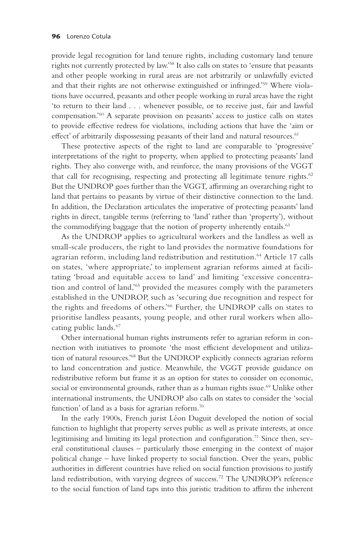provide legal recognition for land tenure rights, including customary land tenure rights not currently protected by law.'58 It also calls on states to 'ensure that peasants and other people working in rural areas are not arbitrarily or unlawfully evicted and that their rights are not otherwise extinguished or infringed.'59 Where violations have occurred, peasants and other people working in rural areas have the right 'to return to their land . . . whenever possible, or to receive just, fair and lawful compensation.'60 A separate provision on peasants' access to justice calls on states to provide effective redress for violations, including actions that have the 'aim or effect' of arbitrarily dispossessing peasants of their land and natural resources.<sup>61</sup>

These protective aspects of the right to land are comparable to 'progressive' interpretations of the right to property, when applied to protecting peasants' land rights. They also converge with, and reinforce, the many provisions of the VGGT that call for recognising, respecting and protecting all legitimate tenure rights. $62$ But the UNDROP goes further than the VGGT, affirming an overarching right to land that pertains to peasants by virtue of their distinctive connection to the land. In addition, the Declaration articulates the imperative of protecting peasants' land rights in direct, tangible terms (referring to 'land' rather than 'property'), without the commodifying baggage that the notion of property inherently entails.<sup>63</sup>

As the UNDROP applies to agricultural workers and the landless as well as small-scale producers, the right to land provides the normative foundations for agrarian reform, including land redistribution and restitution.<sup>64</sup> Article 17 calls on states, 'where appropriate,' to implement agrarian reforms aimed at facilitating 'broad and equitable access to land' and limiting 'excessive concentration and control of land,'65 provided the measures comply with the parameters established in the UNDROP, such as 'securing due recognition and respect for the rights and freedoms of others.'66 Further, the UNDROP calls on states to prioritise landless peasants, young people, and other rural workers when allocating public lands.67

Other international human rights instruments refer to agrarian reform in connection with initiatives to promote 'the most efficient development and utilization of natural resources.'68 But the UNDROP explicitly connects agrarian reform to land concentration and justice. Meanwhile, the VGGT provide guidance on redistributive reform but frame it as an option for states to consider on economic, social or environmental grounds, rather than as a human rights issue.<sup>69</sup> Unlike other international instruments, the UNDROP also calls on states to consider the 'social function' of land as a basis for agrarian reform.<sup>70</sup>

In the early 1900s, French jurist Léon Duguit developed the notion of social function to highlight that property serves public as well as private interests, at once legitimising and limiting its legal protection and configuration.<sup>71</sup> Since then, several constitutional clauses – particularly those emerging in the context of major political change – have linked property to social function. Over the years, public authorities in different countries have relied on social function provisions to justify land redistribution, with varying degrees of success.<sup>72</sup> The UNDROP's reference to the social function of land taps into this juristic tradition to affirm the inherent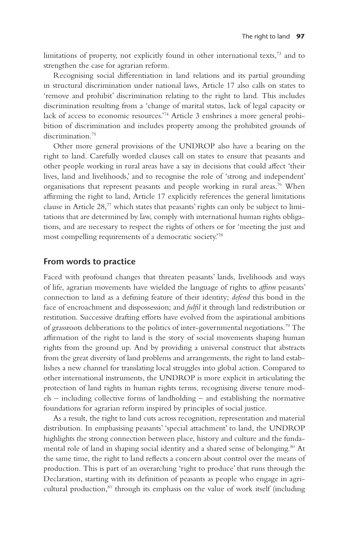limitations of property, not explicitly found in other international texts,73 and to strengthen the case for agrarian reform.

Recognising social differentiation in land relations and its partial grounding in structural discrimination under national laws, Article 17 also calls on states to 'remove and prohibit' discrimination relating to the right to land. This includes discrimination resulting from a 'change of marital status, lack of legal capacity or lack of access to economic resources.'74 Article 3 enshrines a more general prohibition of discrimination and includes property among the prohibited grounds of discrimination.<sup>75</sup>

Other more general provisions of the UNDROP also have a bearing on the right to land. Carefully worded clauses call on states to ensure that peasants and other people working in rural areas have a say in decisions that could affect 'their lives, land and livelihoods,' and to recognise the role of 'strong and independent' organisations that represent peasants and people working in rural areas.76 When affirming the right to land, Article 17 explicitly references the general limitations clause in Article  $28$ ,<sup>77</sup> which states that peasants' rights can only be subject to limitations that are determined by law, comply with international human rights obligations, and are necessary to respect the rights of others or for 'meeting the just and most compelling requirements of a democratic society.'78

#### **From words to practice**

Faced with profound changes that threaten peasants' lands, livelihoods and ways of life, agrarian movements have wielded the language of rights to *affirm* peasants' connection to land as a defining feature of their identity; *defend* this bond in the face of encroachment and dispossession; and *fulfil* it through land redistribution or restitution. Successive drafting efforts have evolved from the aspirational ambitions of grassroots deliberations to the politics of inter-governmental negotiations.79 The affirmation of the right to land is the story of social movements shaping human rights from the ground up. And by providing a universal construct that abstracts from the great diversity of land problems and arrangements, the right to land establishes a new channel for translating local struggles into global action. Compared to other international instruments, the UNDROP is more explicit in articulating the protection of land rights in human rights terms, recognising diverse tenure models – including collective forms of landholding – and establishing the normative foundations for agrarian reform inspired by principles of social justice.

As a result, the right to land cuts across recognition, representation and material distribution. In emphasising peasants' 'special attachment' to land, the UNDROP highlights the strong connection between place, history and culture and the fundamental role of land in shaping social identity and a shared sense of belonging.<sup>80</sup> At the same time, the right to land reflects a concern about control over the means of production. This is part of an overarching 'right to produce' that runs through the Declaration, starting with its definition of peasants as people who engage in agricultural production,<sup>81</sup> through its emphasis on the value of work itself (including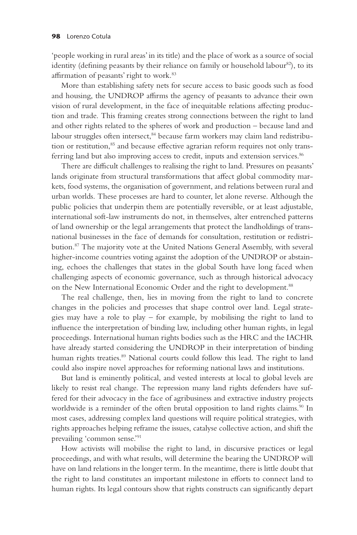'people working in rural areas' in its title) and the place of work as a source of social identity (defining peasants by their reliance on family or household labour<sup>82</sup>), to its affirmation of peasants' right to work.<sup>83</sup>

More than establishing safety nets for secure access to basic goods such as food and housing, the UNDROP affirms the agency of peasants to advance their own vision of rural development, in the face of inequitable relations affecting production and trade. This framing creates strong connections between the right to land and other rights related to the spheres of work and production – because land and labour struggles often intersect,<sup>84</sup> because farm workers may claim land redistribution or restitution,<sup>85</sup> and because effective agrarian reform requires not only transferring land but also improving access to credit, inputs and extension services.<sup>86</sup>

There are difficult challenges to realising the right to land. Pressures on peasants' lands originate from structural transformations that affect global commodity markets, food systems, the organisation of government, and relations between rural and urban worlds. These processes are hard to counter, let alone reverse. Although the public policies that underpin them are potentially reversible, or at least adjustable, international soft-law instruments do not, in themselves, alter entrenched patterns of land ownership or the legal arrangements that protect the landholdings of transnational businesses in the face of demands for consultation, restitution or redistribution.87 The majority vote at the United Nations General Assembly, with several higher-income countries voting against the adoption of the UNDROP or abstaining, echoes the challenges that states in the global South have long faced when challenging aspects of economic governance, such as through historical advocacy on the New International Economic Order and the right to development.<sup>88</sup>

The real challenge, then, lies in moving from the right to land to concrete changes in the policies and processes that shape control over land. Legal strategies may have a role to play – for example, by mobilising the right to land to influence the interpretation of binding law, including other human rights, in legal proceedings. International human rights bodies such as the HRC and the IACHR have already started considering the UNDROP in their interpretation of binding human rights treaties.<sup>89</sup> National courts could follow this lead. The right to land could also inspire novel approaches for reforming national laws and institutions.

But land is eminently political, and vested interests at local to global levels are likely to resist real change. The repression many land rights defenders have suffered for their advocacy in the face of agribusiness and extractive industry projects worldwide is a reminder of the often brutal opposition to land rights claims.<sup>90</sup> In most cases, addressing complex land questions will require political strategies, with rights approaches helping reframe the issues, catalyse collective action, and shift the prevailing 'common sense.'91

How activists will mobilise the right to land, in discursive practices or legal proceedings, and with what results, will determine the bearing the UNDROP will have on land relations in the longer term. In the meantime, there is little doubt that the right to land constitutes an important milestone in efforts to connect land to human rights. Its legal contours show that rights constructs can significantly depart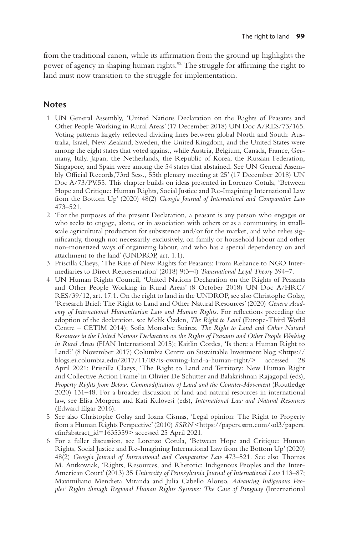from the traditional canon, while its affirmation from the ground up highlights the power of agency in shaping human rights.<sup>92</sup> The struggle for affirming the right to land must now transition to the struggle for implementation.

### **Notes**

- 1 UN General Assembly, 'United Nations Declaration on the Rights of Peasants and Other People Working in Rural Areas' (17 December 2018) UN Doc A/RES/73/165. Voting patterns largely reflected dividing lines between global North and South: Australia, Israel, New Zealand, Sweden, the United Kingdom, and the United States were among the eight states that voted against, while Austria, Belgium, Canada, France, Germany, Italy, Japan, the Netherlands, the Republic of Korea, the Russian Federation, Singapore, and Spain were among the 54 states that abstained. See UN General Assembly Official Records,'73rd Sess., 55th plenary meeting at 25' (17 December 2018) UN Doc A/73/PV.55. This chapter builds on ideas presented in Lorenzo Cotula, 'Between Hope and Critique: Human Rights, Social Justice and Re-Imagining International Law from the Bottom Up' (2020) 48(2) *Georgia Journal of International and Comparative Law* 473–521.
- 2 'For the purposes of the present Declaration, a peasant is any person who engages or who seeks to engage, alone, or in association with others or as a community, in smallscale agricultural production for subsistence and/or for the market, and who relies significantly, though not necessarily exclusively, on family or household labour and other non-monetized ways of organizing labour, and who has a special dependency on and attachment to the land' (UNDROP, art. 1.1).
- 3 Priscilla Claeys, 'The Rise of New Rights for Peasants: From Reliance to NGO Intermediaries to Direct Representation' (2018) 9(3–4) *Transnational Legal Theory* 394–7.
- 4 UN Human Rights Council, 'United Nations Declaration on the Rights of Peasants and Other People Working in Rural Areas' (8 October 2018) UN Doc A/HRC/ RES/39/12, art. 17.1. On the right to land in the UNDROP, see also Christophe Golay, 'Research Brief: The Right to Land and Other Natural Resources' (2020) *Geneva Academy of International Humanitarian Law and Human Rights*. For reflections preceding the adoption of the declaration, see Melik Özden, *The Right to Land* (Europe-Third World Centre – CETIM 2014); Sofia Monsalve Suárez, *The Right to Land and Other Natural Resources in the United Nations Declaration on the Rights of Peasants and Other People Working in Rural Areas* (FIAN International 2015); Kaitlin Cordes, 'Is there a Human Right to Land?' (8 November 2017) Columbia Centre on Sustainable Investment blog <https:// blogs.ei.columbia.edu/2017/11/08/is-owning-land-a-human-right/> accessed 28 April 2021; Priscilla Claeys, 'The Right to Land and Territory: New Human Right and Collective Action Frame' in Olivier De Schutter and Balakrishnan Rajagopal (eds), *Property Rights from Below: Commodification of Land and the Counter-Movement* (Routledge 2020) 131–48. For a broader discussion of land and natural resources in international law, see Elisa Morgera and Kati Kulovesi (eds), *International Law and Natural Resources* (Edward Elgar 2016).
- 5 See also Christophe Golay and Ioana Cismas, 'Legal opinion: The Right to Property from a Human Rights Perspective' (2010) *SSRN* <https://papers.ssrn.com/sol3/papers. cfm?abstract\_id=1635359> accessed 25 April 2021.
- 6 For a fuller discussion, see Lorenzo Cotula, 'Between Hope and Critique: Human Rights, Social Justice and Re-Imagining International Law from the Bottom Up' (2020) 48(2) *Georgia Journal of International and Comparative Law* 473–521. See also Thomas M. Antkowiak, 'Rights, Resources, and Rhetoric: Indigenous Peoples and the Inter-American Court' (2013) 35 *University of Pennsylvania Journal of International Law* 113–87; Maximiliano Mendieta Miranda and Julia Cabello Alonso, *Advancing Indigenous Peoples' Rights through Regional Human Rights Systems: The Case of Paraguay* (International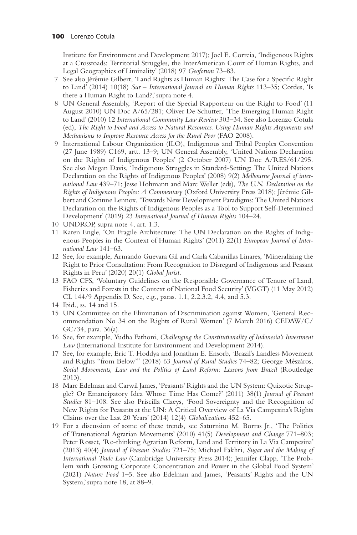Institute for Environment and Development 2017); Joel E. Correia, 'Indigenous Rights at a Crossroads: Territorial Struggles, the InterAmerican Court of Human Rights, and Legal Geographies of Liminality' (2018) 97 *Geoforum* 73–83.

- 7 See also Jérémie Gilbert, 'Land Rights as Human Rights: The Case for a Specific Right to Land' (2014) 10(18) *Sur – International Journal on Human Rights* 113–35; Cordes, 'Is there a Human Right to Land?,' supra note 4.
- 8 UN General Assembly, 'Report of the Special Rapporteur on the Right to Food' (11 August 2010) UN Doc A/65/281; Oliver De Schutter, 'The Emerging Human Right to Land' (2010) 12 *International Community Law Review* 303–34. See also Lorenzo Cotula (ed), *The Right to Food and Access to Natural Resources. Using Human Rights Arguments and Mechanisms to Improve Resource Access for the Rural Poor* (FAO 2008).
- 9 International Labour Organization (ILO), Indigenous and Tribal Peoples Convention (27 June 1989) C169, artt. 13–9; UN General Assembly, 'United Nations Declaration on the Rights of Indigenous Peoples' (2 October 2007) UN Doc A/RES/61/295. See also Megan Davis, 'Indigenous Struggles in Standard-Setting: The United Nations Declaration on the Rights of Indigenous Peoples' (2008) 9(2) *Melbourne Journal of international Law* 439–71; Jesse Hohmann and Marc Weller (eds), *The U.N. Declaration on the Rights of Indigenous Peoples: A Commentary* (Oxford University Press 2018); Jérémie Gilbert and Corinne Lennox, 'Towards New Development Paradigms: The United Nations Declaration on the Rights of Indigenous Peoples as a Tool to Support Self-Determined Development' (2019) 23 *International Journal of Human Rights* 104–24.
- 10 UNDROP, supra note 4, art. 1.3.
- 11 Karen Engle, 'On Fragile Architecture: The UN Declaration on the Rights of Indigenous Peoples in the Context of Human Rights' (2011) 22(1) *European Journal of International Law* 141–63.
- 12 See, for example, Armando Guevara Gil and Carla Cabanillas Linares, 'Mineralizing the Right to Prior Consultation: From Recognition to Disregard of Indigenous and Peasant Rights in Peru' (2020) 20(1) *Global Jurist*.
- 13 FAO CFS, 'Voluntary Guidelines on the Responsible Governance of Tenure of Land, Fisheries and Forests in the Context of National Food Security' (VGGT) (11 May 2012) CL 144/9 Appendix D. See, e.g., paras. 1.1, 2.2.3.2, 4.4, and 5.3.
- 14 Ibid., ss. 14 and 15.
- 15 UN Committee on the Elimination of Discrimination against Women, 'General Recommendation No 34 on the Rights of Rural Women' (7 March 2016) CEDAW/C/ GC/34, para. 36(a).
- 16 See, for example, Yudha Fathoni, *Challenging the Constitutionality of Indonesia's Investment Law* (International Institute for Environment and Development 2014).
- 17 See, for example, Eric T. Hoddya and Jonathan E. Ensorb, 'Brazil's Landless Movement and Rights "from Below"' (2018) 63 *Journal of Rural Studies* 74–82; George Mészáros, *Social Movements, Law and the Politics of Land Reform: Lessons from Brazil* (Routledge 2013).
- 18 Marc Edelman and Carwil James, 'Peasants' Rights and the UN System: Quixotic Struggle? Or Emancipatory Idea Whose Time Has Come?' (2011) 38(1) *Journal of Peasant Studies* 81–108. See also Priscilla Claeys, 'Food Sovereignty and the Recognition of New Rights for Peasants at the UN: A Critical Overview of La Via Campesina's Rights Claims over the Last 20 Years' (2014) 12(4) *Globalizations* 452–65.
- 19 For a discussion of some of these trends, see Saturnino M. Borras Jr., 'The Politics of Transnational Agrarian Movements' (2010) 41(5) *Development and Change* 771–803; Peter Rosset, 'Re-thinking Agrarian Reform, Land and Territory in La Via Campesina' (2013) 40(4) *Journal of Peasant Studies* 721–75; Michael Fakhri, *Sugar and the Making of International Trade Law* (Cambridge University Press 2014); Jennifer Clapp, 'The Problem with Growing Corporate Concentration and Power in the Global Food System' (2021) *Nature Food* 1–5. See also Edelman and James, 'Peasants' Rights and the UN System,' supra note 18, at 88–9.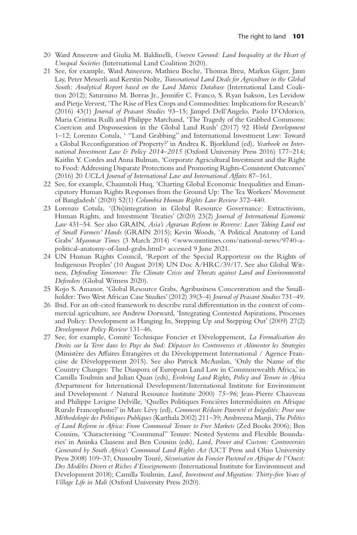- 20 Ward Anseeuw and Giulia M. Baldinelli, *Uneven Ground: Land Inequality at the Heart of Unequal Societies* (International Land Coalition 2020).
- 21 See, for example, Ward Anseeuw, Mathieu Boche, Thomas Breu, Markus Giger, Jann Lay, Peter Messerli and Kerstin Nolte, *Transnational Land Deals for Agriculture in the Global South: Analytical Report based on the Land Matrix Database* (International Land Coalition 2012); Saturnino M. Borras Jr., Jennifer C. Franco, S. Ryan Isakson, Les Levidow and Pietje Vervest, 'The Rise of Flex Crops and Commodities: Implications for Research' (2016) 43(1) *Journal of Peasant Studies* 93–15; Jampel Dell'Angelo, Paolo D'Odorico, Maria Cristina Rulli and Philippe Marchand, 'The Tragedy of the Grabbed Commons: Coercion and Dispossession in the Global Land Rush' (2017) 92 *World Development* 1–12; Lorenzo Cotula, ' "Land Grabbing" and International Investment Law: Toward a Global Reconfiguration of Property?' in Andrea K. Bjorklund (ed), *Yearbook on International Investment Law & Policy 2014–2015* (Oxford University Press 2016) 177–214; Kaitlin Y. Cordes and Anna Bulman, 'Corporate Agricultural Investment and the Right to Food: Addressing Disparate Protections and Promoting Rights-Consistent Outcomes' (2016) 20 *UCLA Journal of International Law and International Affairs* 87–161.
- 22 See, for example, Chaumtoli Huq, 'Charting Global Economic Inequalities and Emancipatory Human Rights Responses from the Ground Up: The Tea Workers' Movement of Bangladesh' (2020) 52(1) *Columbia Human Rights Law Review* 372–440.
- 23 Lorenzo Cotula, '(Dis)integration in Global Resource Governance: Extractivism, Human Rights, and Investment Treaties' (2020) 23(2) *Journal of International Economic Law* 431–54. See also GRAIN, *Asia's Agrarian Reform in Reverse: Laws Taking Land out of Small Farmers' Hands* (GRAIN 2015); Kevin Woods, 'A Political Anatomy of Land Grabs' *Myanmar Times* (3 March 2014) <www.mmtimes.com/national-news/9740-apolitical-anatomy-of-land-grabs.html> accessed 9 June 2021.
- 24 UN Human Rights Council, 'Report of the Special Rapporteur on the Rights of Indigenous Peoples' (10 August 2018) UN Doc A/HRC/39/17. See also Global Witness, *Defending Tomorrow: The Climate Crisis and Threats against Land and Environmental Defenders* (Global Witness 2020).
- 25 Kojo S. Amanor, 'Global Resource Grabs, Agribusiness Concentration and the Smallholder: Two West African Case Studies' (2012) 39(3–4) *Journal of Peasant Studies* 731–49.
- 26 Ibid. For an oft-cited framework to describe rural differentiation in the context of commercial agriculture, see Andrew Dorward, 'Integrating Contested Aspirations, Processes and Policy: Development as Hanging In, Stepping Up and Stepping Out' (2009) 27(2) *Development Policy Review* 131–46.
- 27 See, for example, Comité Technique Foncier et Développement, *La Formalisation des Droits sur la Terre dans les Pays du Sud: Dépasser les Controverses et Alimenter les Strategies* (Ministère des Affaires Étrangères et du Développement International / Agence Française de Développement 2015). See also Patrick McAuslan, 'Only the Name of the Country Changes: The Diaspora of European Land Law in Commonwealth Africa,' in Camilla Toulmin and Julian Quan (eds), *Evolving Land Rights, Policy and Tenure in Africa (*Department for International Development/International Institute for Environment and Development / Natural Resource Institute 2000) *75–96*; Jean-Pierre Chauveau and Philippe Lavigne Delville, 'Quelles Politiques Foncières Intermédiaires en Afrique Rurale Francophone?' in Marc Lévy (ed), *Comment Réduire Pauvreté et Inégalités: Pour une Méthodologie des Politiques Publiques* (Karthala 2002) 211–39; Ambreena Manji, *The Politics of Land Reform in Africa: From Communal Tenure to Free Markets* (Zed Books 2006); Ben Cousins, 'Characterising "Communal" Tenure: Nested Systems and Flexible Boundaries' in Aninka Claasens and Ben Cousins (eds), *Land, Power and Custom: Controversies Generated by South Africa's Communal Land Rights Act* (UCT Press and Ohio University Press 2008) 109–37; Oussouby Touré, *Sécurisation du Foncier Pastoral en Afrique de l'Ouest: Des Modèles Divers et Riches d'Enseignements* (International Institute for Environment and Development 2018); Camilla Toulmin, *Land, Investment and Migration: Thirty-five Years of Village Life in Mali* (Oxford University Press 2020).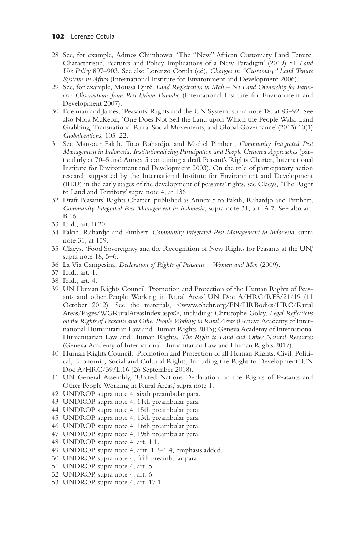- 28 See, for example, Admos Chimhowu, 'The "New" African Customary Land Tenure. Characteristic, Features and Policy Implications of a New Paradigm' (2019) 81 *Land Use Policy* 897–903. See also Lorenzo Cotula (ed), *Changes in "Customary" Land Tenure Systems in Africa* (International Institute for Environment and Development 2006).
- 29 See, for example, Moussa Djiré, *Land Registration in Mali No Land Ownership for Farmers? Observations from Peri-Urban Bamako* (International Institute for Environment and Development 2007).
- 30 Edelman and James, 'Peasants' Rights and the UN System,' supra note 18, at 83–92. See also Nora McKeon, 'One Does Not Sell the Land upon Which the People Walk: Land Grabbing, Transnational Rural Social Movements, and Global Governance' (2013) 10(1) *Globalizations*, 105–22.
- 31 See Mansour Fakih, Toto Rahardjo, and Michel Pimbert, *Community Integrated Pest Management in Indonesia: Institutionalizing Participation and People Centered Approaches* (particularly at 70–5 and Annex 5 containing a draft Peasant's Rights Charter, International Institute for Environment and Development 2003). On the role of participatory action research supported by the International Institute for Environment and Development (IIED) in the early stages of the development of peasants' rights, see Claeys, 'The Right to Land and Territory,' supra note 4, at 136.
- 32 Draft Peasants' Rights Charter, published as Annex 5 to Fakih, Rahardjo and Pimbert, *Community Integrated Pest Management in Indonesia*, supra note 31, art. A.7. See also art. B.16.
- 33 Ibid., art. B.20.
- 34 Fakih, Rahardjo and Pimbert, *Community Integrated Pest Management in Indonesia*, supra note 31, at 159.
- 35 Claeys, 'Food Sovereignty and the Recognition of New Rights for Peasants at the UN,' supra note 18, 5–6.
- 36 La Via Campesina, *Declaration of Rights of Peasants Women and Men* (2009).
- 37 Ibid., art. 1.
- 38 Ibid., art. 4.
- 39 UN Human Rights Council 'Promotion and Protection of the Human Rights of Peasants and other People Working in Rural Areas' UN Doc A/HRC/RES/21/19 (11 October 2012). See the materials, <www.ohchr.org/EN/HRBodies/HRC/Rural Areas/Pages/WGRuralAreasIndex.aspx>, including: Christophe Golay, *Legal Reflections on the Rights of Peasants and Other People Working in Rural Areas* (Geneva Academy of International Humanitarian Law and Human Rights 2013); Geneva Academy of International Humanitarian Law and Human Rights, *The Right to Land and Other Natural Resources* (Geneva Academy of International Humanitarian Law and Human Rights 2017).
- 40 Human Rights Council, 'Promotion and Protection of all Human Rights, Civil, Political, Economic, Social and Cultural Rights, Including the Right to Development' UN Doc A/HRC/39/L.16 (26 September 2018).
- 41 UN General Assembly, 'United Nations Declaration on the Rights of Peasants and Other People Working in Rural Areas,' supra note 1.
- 42 UNDROP, supra note 4, sixth preambular para.
- 43 UNDROP, supra note 4, 11th preambular para.
- 44 UNDROP, supra note 4, 15th preambular para.
- 45 UNDROP, supra note 4, 13th preambular para.
- 46 UNDROP, supra note 4, 16th preambular para.
- 47 UNDROP, supra note 4, 19th preambular para.
- 48 UNDROP, supra note 4, art. 1.1.
- 49 UNDROP, supra note 4, artt. 1.2–1.4, emphasis added.
- 50 UNDROP, supra note 4, fifth preambular para.
- 51 UNDROP, supra note 4, art. 5.
- 52 UNDROP, supra note 4, art. 6.
- 53 UNDROP, supra note 4, art. 17.1.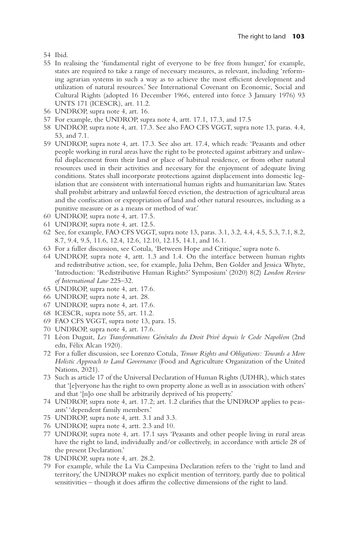- 54 Ibid.
- 55 In realising the 'fundamental right of everyone to be free from hunger,' for example, states are required to take a range of necessary measures, as relevant, including 'reforming agrarian systems in such a way as to achieve the most efficient development and utilization of natural resources.' See International Covenant on Economic, Social and Cultural Rights (adopted 16 December 1966, entered into force 3 January 1976) 93 UNTS 171 (ICESCR), art. 11.2.
- 56 UNDROP, supra note 4, art. 16.
- 57 For example, the UNDROP, supra note 4, artt. 17.1, 17.3, and 17.5
- 58 UNDROP, supra note 4, art. 17.3. See also FAO CFS VGGT, supra note 13, paras. 4.4, 53, and 7.1.
- 59 UNDROP, supra note 4, art. 17.3. See also art. 17.4, which reads: 'Peasants and other people working in rural areas have the right to be protected against arbitrary and unlawful displacement from their land or place of habitual residence, or from other natural resources used in their activities and necessary for the enjoyment of adequate living conditions. States shall incorporate protections against displacement into domestic legislation that are consistent with international human rights and humanitarian law. States shall prohibit arbitrary and unlawful forced eviction, the destruction of agricultural areas and the confiscation or expropriation of land and other natural resources, including as a punitive measure or as a means or method of war.'
- 60 UNDROP, supra note 4, art. 17.5.
- 61 UNDROP, supra note 4, art. 12.5.
- 62 See, for example, FAO CFS VGGT, supra note 13, paras. 3.1, 3.2, 4.4, 4.5, 5.3, 7.1, 8.2, 8.7, 9.4, 9.5, 11.6, 12.4, 12.6, 12.10, 12.15, 14.1, and 16.1.
- 63 For a fuller discussion, see Cotula, 'Between Hope and Critique,' supra note 6.
- 64 UNDROP, supra note 4, artt. 1.3 and 1.4. On the interface between human rights and redistributive action, see, for example, Julia Dehm, Ben Golder and Jessica Whyte, 'Introduction: 'Redistributive Human Rights?' Symposium' (2020) 8(2) *London Review of International Law* 225–32.
- 65 UNDROP, supra note 4, art. 17.6.
- 66 UNDROP, supra note 4, art. 28.
- 67 UNDROP, supra note 4, art. 17.6.
- 68 ICESCR, supra note 55, art. 11.2.
- 69 FAO CFS VGGT, supra note 13, para. 15.
- 70 UNDROP, supra note 4, art. 17.6.
- 71 Léon Duguit, *Les Transformations Générales du Droit Privé depuis le Code Napoléon* (2nd edn, Félix Alcan 1920).
- 72 For a fuller discussion, see Lorenzo Cotula, *Tenure Rights and Obligations: Towards a More Holistic Approach to Land Governance* (Food and Agriculture Organization of the United Nations, 2021).
- 73 Such as article 17 of the Universal Declaration of Human Rights (UDHR), which states that '[e]veryone has the right to own property alone as well as in association with others' and that '[n]o one shall be arbitrarily deprived of his property.'
- 74 UNDROP, supra note 4, art. 17.2; art. 1.2 clarifies that the UNDROP applies to peasants' 'dependent family members.'
- 75 UNDROP, supra note 4, artt. 3.1 and 3.3.
- 76 UNDROP, supra note 4, artt. 2.3 and 10.
- 77 UNDROP, supra note 4, art. 17.1 says 'Peasants and other people living in rural areas have the right to land, individually and/or collectively, in accordance with article 28 of the present Declaration.'
- 78 UNDROP, supra note 4, art. 28.2.
- 79 For example, while the La Via Campesina Declaration refers to the 'right to land and territory,' the UNDROP makes no explicit mention of territory, partly due to political sensitivities – though it does affirm the collective dimensions of the right to land.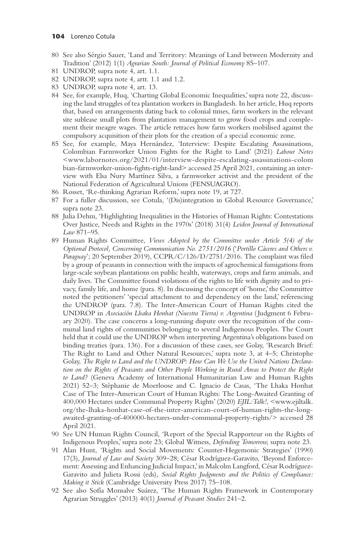- 80 See also Sérgio Sauer, 'Land and Territory: Meanings of Land between Modernity and Tradition' (2012) 1(1) *Agrarian South: Journal of Political Economy* 85–107.
- 81 UNDROP, supra note 4, art. 1.1.
- 82 UNDROP, supra note 4, artt. 1.1 and 1.2.
- 83 UNDROP, supra note 4, art. 13.
- 84 See, for example, Huq, 'Charting Global Economic Inequalities,' supra note 22, discussing the land struggles of tea plantation workers in Bangladesh. In her article, Huq reports that, based on arrangements dating back to colonial times, farm workers in the relevant site sublease small plots from plantation management to grow food crops and complement their meagre wages. The article retraces how farm workers mobilised against the compulsory acquisition of their plots for the creation of a special economic zone.
- 85 See, for example, Maya Hernández, 'Interview: Despite Escalating Assassinations, Colombian Farmworker Union Fights for the Right to Land' (2021) *Labour Notes* <www.labornotes.org/2021/01/interview-despite-escalating-assassinations-colom bian-farmworker-union-fights-right-land> accessed 25 April 2021, containing an interview with Elsa Nury Martínez Silva, a farmworker activist and the president of the National Federation of Agricultural Unions (FENSUAGRO).
- 86 Rosset, 'Re-thinking Agrarian Reform,' supra note 19, at 727.
- 87 For a fuller discussion, see Cotula, '(Dis)integration in Global Resource Governance,' supra note 23.
- 88 Julia Dehm, 'Highlighting Inequalities in the Histories of Human Rights: Contestations Over Justice, Needs and Rights in the 1970s' (2018) 31(4) *Leiden Journal of International Law* 871–95.
- 89 Human Rights Committee, *Views Adopted by the Committee under Article 5(4) of the Optional Protocol, Concerning Communication No. 2751/2016* ('*Portillo Cáceres and Others v. Paraguay*'; 20 September 2019), CCPR/C/126/D/2751/2016. The complaint was filed by a group of peasants in connection with the impacts of agrochemical fumigations from large-scale soybean plantations on public health, waterways, crops and farm animals, and daily lives. The Committee found violations of the rights to life with dignity and to privacy, family life, and home (para. 8). In discussing the concept of 'home,' the Committee noted the petitioners' 'special attachment to and dependency on the land,' referencing the UNDROP (para. 7.8). The Inter-American Court of Human Rights cited the UNDROP in *Asociación Lhaka Honhat (Nuestra Tierra) v. Argentina* ( Judgment 6 February 2020). The case concerns a long-running dispute over the recognition of the communal land rights of communities belonging to several Indigenous Peoples. The Court held that it could use the UNDROP when interpreting Argentina's obligations based on binding treaties (para. 136). For a discussion of these cases, see Golay, 'Research Brief: The Right to Land and Other Natural Resources,' supra note 3, at 4–5; Christophe Golay, *The Right to Land and the UNDROP: How Can We Use the United Nations Declaration on the Rights of Peasants and Other People Working in Rural Areas to Protect the Right to Land?* (Geneva Academy of International Humanitarian Law and Human Rights 2021) 52–3; Stéphanie de Moerloose and C. Ignacio de Casas, 'The Lhaka Honhat Case of The Inter-American Court of Human Rights: The Long-Awaited Granting of 400,000 Hectares under Communal Property Rights' (2020) *EJIL:Talk!*, <www.ejiltalk. org/the-lhaka-honhat-case-of-the-inter-american-court-of-human-rights-the-longawaited-granting-of-400000-hectares-under-communal-property-rights/> accessed 28 April 2021.
- 90 See UN Human Rights Council, 'Report of the Special Rapporteur on the Rights of Indigenous Peoples,' supra note 23; Global Witness, *Defending Tomorrow,* supra note 23.
- 91 Alan Hunt, 'Rights and Social Movements: Counter-Hegemonic Strategies' (1990) 17(3), *Journal of Law and Society* 309–28; César Rodríguez-Garavito, 'Beyond Enforcement: Assessing and Enhancing Judicial Impact,' in Malcolm Langford, César Rodríguez-Garavito and Julieta Rossi (eds), *Social Rights Judgments and the Politics of Compliance: Making it Stick* (Cambridge University Press 2017) 75–108.
- 92 See also Sofía Monsalve Suárez, 'The Human Rights Framework in Contemporary Agrarian Struggles' (2013) 40(1) *Journal of Peasant Studies* 241–2.